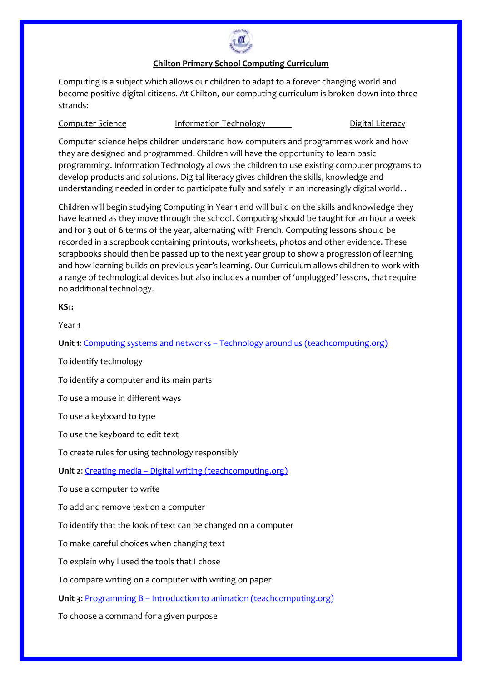

### **Chilton Primary School Computing Curriculum**

Computing is a subject which allows our children to adapt to a forever changing world and become positive digital citizens. At Chilton, our computing curriculum is broken down into three strands:

# Computer Science Information Technology Digital Literacy

Computer science helps children understand how computers and programmes work and how they are designed and programmed. Children will have the opportunity to learn basic programming. Information Technology allows the children to use existing computer programs to develop products and solutions. Digital literacy gives children the skills, knowledge and understanding needed in order to participate fully and safely in an increasingly digital world. .

Children will begin studying Computing in Year 1 and will build on the skills and knowledge they have learned as they move through the school. Computing should be taught for an hour a week and for 3 out of 6 terms of the year, alternating with French. Computing lessons should be recorded in a scrapbook containing printouts, worksheets, photos and other evidence. These scrapbooks should then be passed up to the next year group to show a progression of learning and how learning builds on previous year's learning. Our Curriculum allows children to work with a range of technological devices but also includes a number of 'unplugged' lessons, that require no additional technology.

## **KS1:**

Year 1

**Unit 1**: Computing systems and networks – [Technology around us \(teachcomputing.org\)](https://teachcomputing.org/curriculum/key-stage-1/computing-systems-and-networks-technology-around-us)

To identify technology

To identify a computer and its main parts

To use a mouse in different ways

To use a keyboard to type

To use the keyboard to edit text

To create rules for using technology responsibly

**Unit 2:** Creating media – [Digital writing \(teachcomputing.org\)](https://teachcomputing.org/curriculum/key-stage-1/creating-media-digital-writing)

To use a computer to write

To add and remove text on a computer

To identify that the look of text can be changed on a computer

To make careful choices when changing text

To explain why I used the tools that I chose

To compare writing on a computer with writing on paper

**Unit 3: Programming B – [Introduction to animation \(teachcomputing.org\)](https://teachcomputing.org/curriculum/key-stage-1/programming-b-introduction-to-animation)** 

To choose a command for a given purpose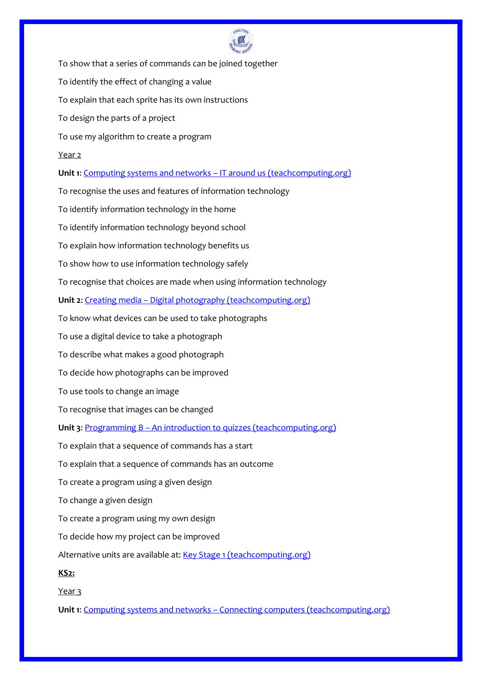

To show that a series of commands can be joined together To identify the effect of changing a value To explain that each sprite has its own instructions To design the parts of a project To use my algorithm to create a program Year 2 **Unit 1**: Computing systems and networks – [IT around us \(teachcomputing.org\)](https://teachcomputing.org/curriculum/key-stage-1/computing-systems-and-networks-it-around-us) To recognise the uses and features of information technology To identify information technology in the home To identify information technology beyond school To explain how information technology benefits us To show how to use information technology safely To recognise that choices are made when using information technology **Unit 2: Creating media – [Digital photography \(teachcomputing.org\)](https://teachcomputing.org/curriculum/key-stage-1/creating-media-digital-photography)** To know what devices can be used to take photographs To use a digital device to take a photograph To describe what makes a good photograph To decide how photographs can be improved To use tools to change an image To recognise that images can be changed Unit 3: Programming B - [An introduction to quizzes \(teachcomputing.org\)](https://teachcomputing.org/curriculum/key-stage-1/programming-b-an-introduction-to-quizzes) To explain that a sequence of commands has a start To explain that a sequence of commands has an outcome To create a program using a given design To change a given design To create a program using my own design To decide how my project can be improved Alternative units are available at: [Key Stage 1 \(teachcomputing.org\)](https://teachcomputing.org/curriculum/key-stage-1) **KS2:** Year 3 **Unit 1**: Computing systems and networks – [Connecting computers \(teachcomputing.org\)](https://teachcomputing.org/curriculum/key-stage-2/computing-systems-and-networks-connecting-computers)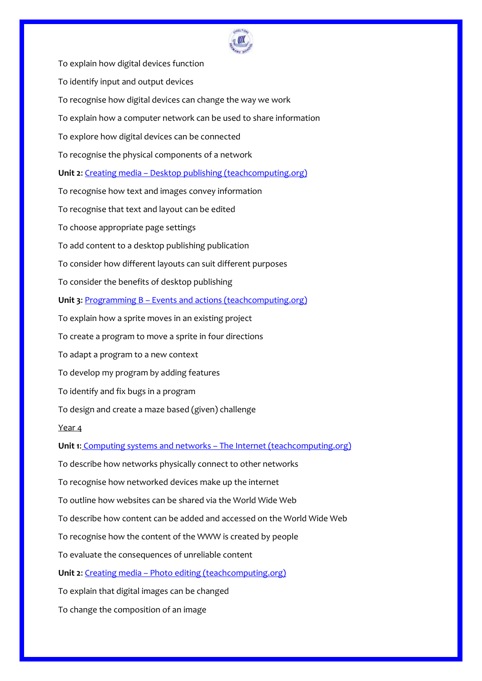

To explain how digital devices function To identify input and output devices To recognise how digital devices can change the way we work To explain how a computer network can be used to share information To explore how digital devices can be connected To recognise the physical components of a network **Unit 2**: Creating media – [Desktop publishing \(teachcomputing.org\)](https://teachcomputing.org/curriculum/key-stage-2/creating-media-desktop-publishing) To recognise how text and images convey information To recognise that text and layout can be edited To choose appropriate page settings To add content to a desktop publishing publication To consider how different layouts can suit different purposes To consider the benefits of desktop publishing **Unit 3**: Programming B – [Events and actions \(teachcomputing.org\)](https://teachcomputing.org/curriculum/key-stage-2/programming-b-events-and-actions) To explain how a sprite moves in an existing project To create a program to move a sprite in four directions To adapt a program to a new context To develop my program by adding features To identify and fix bugs in a program To design and create a maze based (given) challenge Year 4 **Unit 1**: Computing systems and networks – [The Internet \(teachcomputing.org\)](https://teachcomputing.org/curriculum/key-stage-2/computing-systems-and-networks-the-internet) To describe how networks physically connect to other networks To recognise how networked devices make up the internet To outline how websites can be shared via the World Wide Web To describe how content can be added and accessed on the World Wide Web To recognise how the content of the WWW is created by people To evaluate the consequences of unreliable content **Unit 2**: Creating media – [Photo editing \(teachcomputing.org\)](https://teachcomputing.org/curriculum/key-stage-2/creating-media-photo-editing) To explain that digital images can be changed To change the composition of an image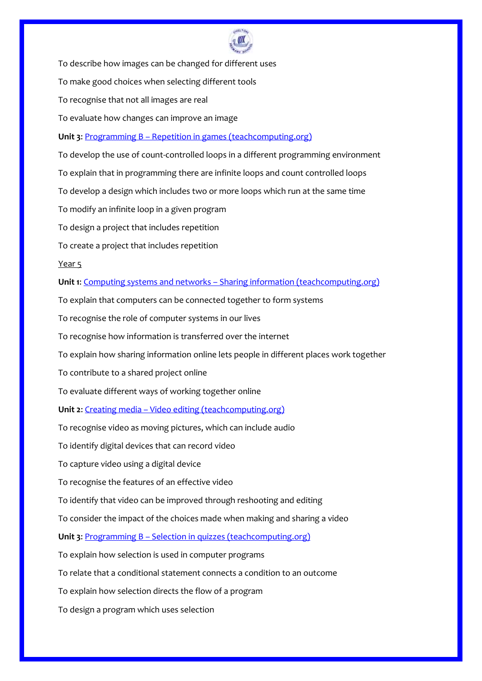

To describe how images can be changed for different uses

To make good choices when selecting different tools

To recognise that not all images are real

To evaluate how changes can improve an image

**Unit 3**: Programming B – [Repetition in games \(teachcomputing.org\)](https://teachcomputing.org/curriculum/key-stage-2/programming-b-repetition-in-games)

To develop the use of count-controlled loops in a different programming environment

To explain that in programming there are infinite loops and count controlled loops

To develop a design which includes two or more loops which run at the same time

To modify an infinite loop in a given program

To design a project that includes repetition

To create a project that includes repetition

Year 5

**Unit 1**: Computing systems and networks – [Sharing information \(teachcomputing.org\)](https://teachcomputing.org/curriculum/key-stage-2/computing-systems-and-networks-sharing-information)

To explain that computers can be connected together to form systems

To recognise the role of computer systems in our lives

To recognise how information is transferred over the internet

To explain how sharing information online lets people in different places work together

To contribute to a shared project online

To evaluate different ways of working together online

**Unit 2**: Creating media – [Video editing \(teachcomputing.org\)](https://teachcomputing.org/curriculum/key-stage-2/creating-media-video-editing)

To recognise video as moving pictures, which can include audio

To identify digital devices that can record video

To capture video using a digital device

To recognise the features of an effective video

To identify that video can be improved through reshooting and editing

To consider the impact of the choices made when making and sharing a video

**Unit 3**: Programming B – [Selection in quizzes \(teachcomputing.org\)](https://teachcomputing.org/curriculum/key-stage-2/programming-b-selection-in-quizzes)

To explain how selection is used in computer programs

To relate that a conditional statement connects a condition to an outcome

To explain how selection directs the flow of a program

To design a program which uses selection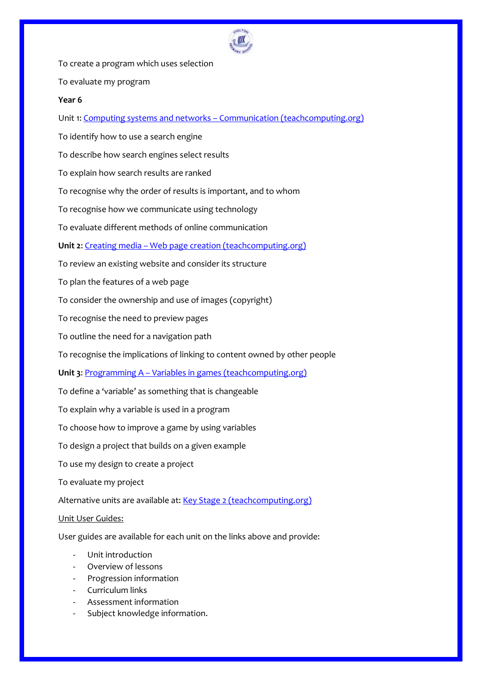

To create a program which uses selection

To evaluate my program

### **Year 6**

Unit 1: Computing systems and networks – [Communication \(teachcomputing.org\)](https://teachcomputing.org/curriculum/key-stage-2/computing-systems-and-networks-communication)

To identify how to use a search engine

To describe how search engines select results

To explain how search results are ranked

To recognise why the order of results is important, and to whom

To recognise how we communicate using technology

To evaluate different methods of online communication

**Unit 2**: Creating media – [Web page creation \(teachcomputing.org\)](https://teachcomputing.org/curriculum/key-stage-2/creating-media-web-page-creation)

To review an existing website and consider its structure

To plan the features of a web page

To consider the ownership and use of images (copyright)

To recognise the need to preview pages

To outline the need for a navigation path

To recognise the implications of linking to content owned by other people

**Unit 3: Programming A – [Variables in games \(teachcomputing.org\)](https://teachcomputing.org/curriculum/key-stage-2/programming-a-variables-in-games)** 

To define a 'variable' as something that is changeable

To explain why a variable is used in a program

To choose how to improve a game by using variables

To design a project that builds on a given example

To use my design to create a project

To evaluate my project

Alternative units are available at: [Key Stage 2 \(teachcomputing.org\)](https://teachcomputing.org/curriculum/key-stage-2)

### Unit User Guides:

User guides are available for each unit on the links above and provide:

- Unit introduction
- Overview of lessons
- Progression information
- Curriculum links
- Assessment information
- Subject knowledge information.